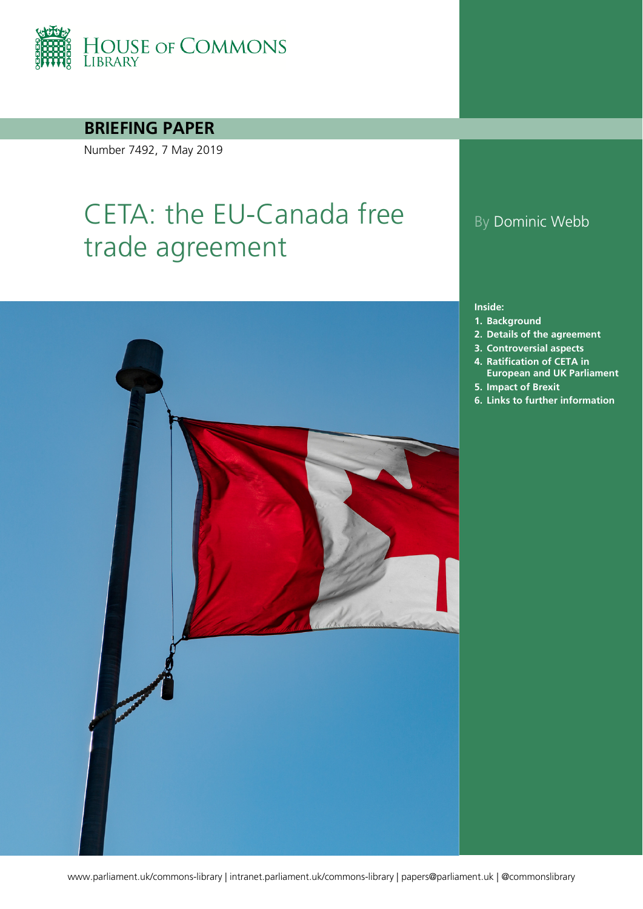

### **BRIEFING PAPER**

Number 7492, 7 May 2019

# CETA: the EU-Canada free trade agreement



### By Dominic Webb

#### **Inside:**

- **1. [Background](#page-3-0)**
- **2. [Details of the agreement](#page-5-0)**
- **3. [Controversial aspects](#page-7-0)**
- **4. [Ratification of CETA in](#page-12-0)  [European and UK Parliament](#page-12-0)**
- **5. [Impact of Brexit](#page-17-0)**
- **6. [Links to further information](#page-18-0)**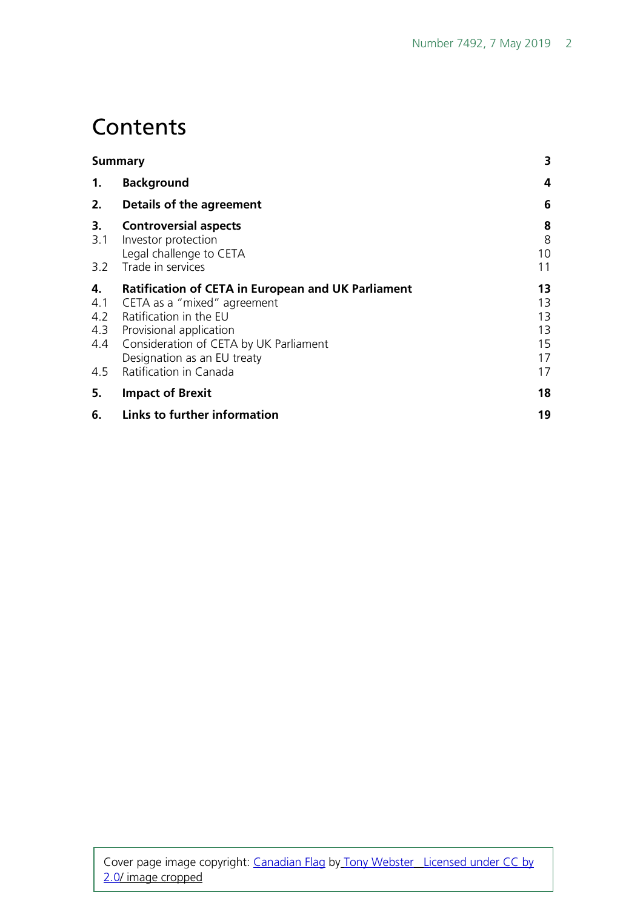## **Contents**

| <b>Summary</b> |                                                                                                                                                                                                                                                                  | 3                                      |
|----------------|------------------------------------------------------------------------------------------------------------------------------------------------------------------------------------------------------------------------------------------------------------------|----------------------------------------|
| 1.             | <b>Background</b>                                                                                                                                                                                                                                                | 4                                      |
| 2.             | Details of the agreement                                                                                                                                                                                                                                         | 6                                      |
| 3.<br>3.1      | <b>Controversial aspects</b><br>Investor protection<br>Legal challenge to CETA<br>3.2 Trade in services                                                                                                                                                          | 8<br>8<br>10<br>11                     |
| 4.<br>4.1      | <b>Ratification of CETA in European and UK Parliament</b><br>CETA as a "mixed" agreement<br>4.2 Ratification in the EU<br>4.3 Provisional application<br>4.4 Consideration of CETA by UK Parliament<br>Designation as an EU treaty<br>4.5 Ratification in Canada | 13<br>13<br>13<br>13<br>15<br>17<br>17 |
| 5.             | <b>Impact of Brexit</b>                                                                                                                                                                                                                                          | 18                                     |
| 6.             | Links to further information                                                                                                                                                                                                                                     | 19                                     |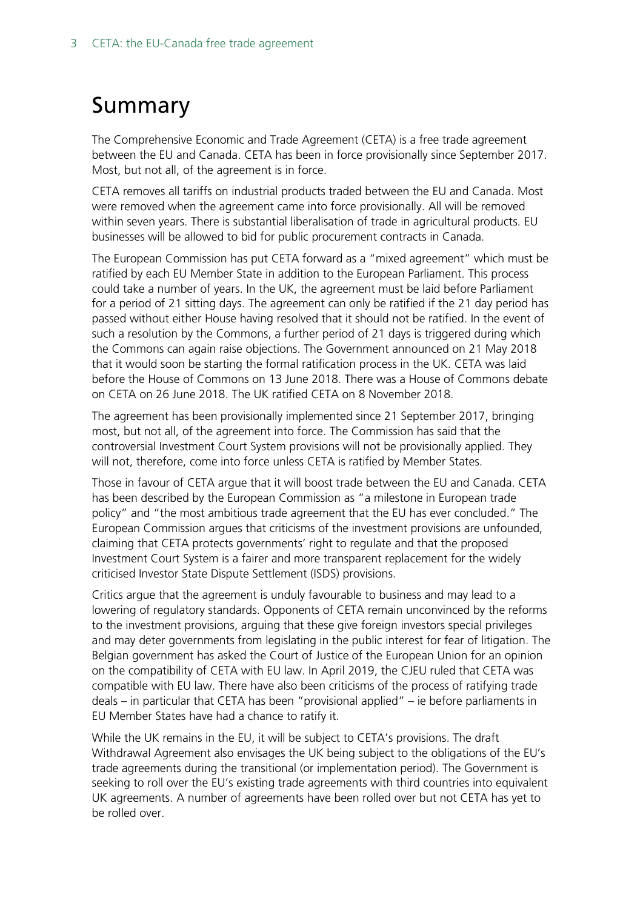# <span id="page-2-0"></span>Summary

The Comprehensive Economic and Trade Agreement (CETA) is a free trade agreement between the EU and Canada. CETA has been in force provisionally since September 2017. Most, but not all, of the agreement is in force.

CETA removes all tariffs on industrial products traded between the EU and Canada. Most were removed when the agreement came into force provisionally. All will be removed within seven years. There is substantial liberalisation of trade in agricultural products. EU businesses will be allowed to bid for public procurement contracts in Canada.

The European Commission has put CETA forward as a "mixed agreement" which must be ratified by each EU Member State in addition to the European Parliament. This process could take a number of years. In the UK, the agreement must be laid before Parliament for a period of 21 sitting days. The agreement can only be ratified if the 21 day period has passed without either House having resolved that it should not be ratified. In the event of such a resolution by the Commons, a further period of 21 days is triggered during which the Commons can again raise objections. The Government announced on 21 May 2018 that it would soon be starting the formal ratification process in the UK. CETA was laid before the House of Commons on 13 June 2018. There was a House of Commons debate on CETA on 26 June 2018. The UK ratified CETA on 8 November 2018.

The agreement has been provisionally implemented since 21 September 2017, bringing most, but not all, of the agreement into force. The Commission has said that the controversial Investment Court System provisions will not be provisionally applied. They will not, therefore, come into force unless CETA is ratified by Member States.

Those in favour of CETA argue that it will boost trade between the EU and Canada. CETA has been described by the European Commission as "a milestone in European trade policy" and "the most ambitious trade agreement that the EU has ever concluded." The European Commission argues that criticisms of the investment provisions are unfounded, claiming that CETA protects governments' right to regulate and that the proposed Investment Court System is a fairer and more transparent replacement for the widely criticised Investor State Dispute Settlement (ISDS) provisions.

Critics argue that the agreement is unduly favourable to business and may lead to a lowering of regulatory standards. Opponents of CETA remain unconvinced by the reforms to the investment provisions, arguing that these give foreign investors special privileges and may deter governments from legislating in the public interest for fear of litigation. The Belgian government has asked the Court of Justice of the European Union for an opinion on the compatibility of CETA with EU law. In April 2019, the CJEU ruled that CETA was compatible with EU law. There have also been criticisms of the process of ratifying trade deals – in particular that CETA has been "provisional applied" – ie before parliaments in EU Member States have had a chance to ratify it.

While the UK remains in the EU, it will be subject to CETA's provisions. The draft Withdrawal Agreement also envisages the UK being subject to the obligations of the EU's trade agreements during the transitional (or implementation period). The Government is seeking to roll over the EU's existing trade agreements with third countries into equivalent UK agreements. A number of agreements have been rolled over but not CETA has yet to be rolled over.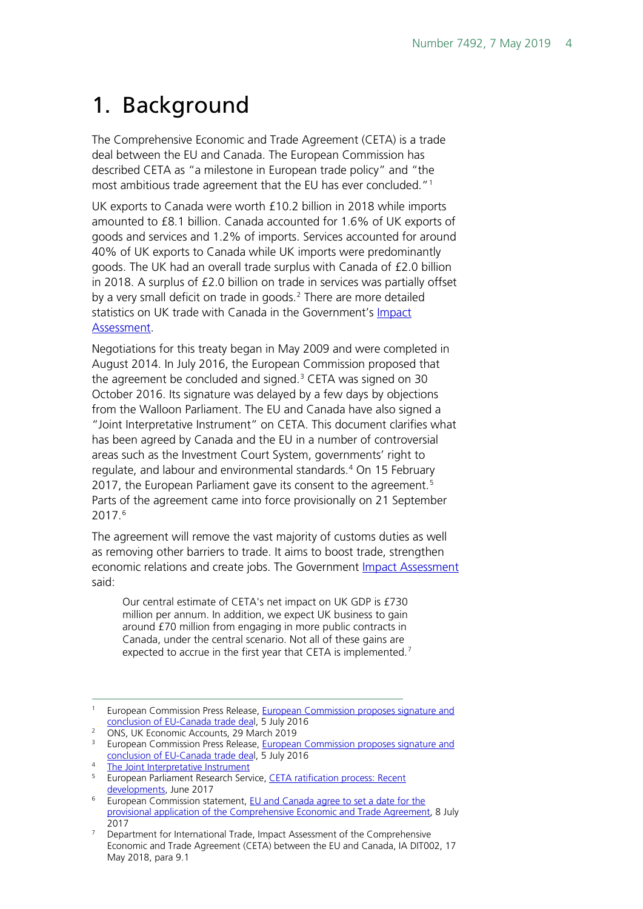# <span id="page-3-0"></span>1. Background

The Comprehensive Economic and Trade Agreement (CETA) is a trade deal between the EU and Canada. The European Commission has described CETA as "a milestone in European trade policy" and "the most ambitious trade agreement that the EU has ever concluded."[1](#page-3-1)

UK exports to Canada were worth £10.2 billion in 2018 while imports amounted to £8.1 billion. Canada accounted for 1.6% of UK exports of goods and services and 1.2% of imports. Services accounted for around 40% of UK exports to Canada while UK imports were predominantly goods. The UK had an overall trade surplus with Canada of £2.0 billion in 2018. A surplus of £2.0 billion on trade in services was partially offset by a very small deficit on trade in goods.<sup>[2](#page-3-2)</sup> There are more detailed statistics on UK trade with Canada in the Government's [Impact](http://www.legislation.gov.uk/ukia/2018/82/pdfs/ukia_20180082_en.pdf)  [Assessment.](http://www.legislation.gov.uk/ukia/2018/82/pdfs/ukia_20180082_en.pdf)

Negotiations for this treaty began in May 2009 and were completed in August 2014. In July 2016, the European Commission proposed that the agreement be concluded and signed.<sup>[3](#page-3-3)</sup> CETA was signed on 30 October 2016. Its signature was delayed by a few days by objections from the Walloon Parliament. The EU and Canada have also signed a "Joint Interpretative Instrument" on CETA. This document clarifies what has been agreed by Canada and the EU in a number of controversial areas such as the Investment Court System, governments' right to regulate, and labour and environmental standards.<sup>[4](#page-3-4)</sup> On 15 February 2017, the European Parliament gave its consent to the agreement.<sup>[5](#page-3-5)</sup> Parts of the agreement came into force provisionally on 21 September 2017.[6](#page-3-6)

The agreement will remove the vast majority of customs duties as well as removing other barriers to trade. It aims to boost trade, strengthen economic relations and create jobs. The Government [Impact Assessment](http://www.legislation.gov.uk/ukia/2018/82/pdfs/ukia_20180082_en.pdf) said:

Our central estimate of CETA's net impact on UK GDP is £730 million per annum. In addition, we expect UK business to gain around £70 million from engaging in more public contracts in Canada, under the central scenario. Not all of these gains are expected to accrue in the first year that CETA is implemented.<sup>[7](#page-3-7)</sup>

<span id="page-3-1"></span><sup>&</sup>lt;sup>1</sup> European Commission Press Release, European Commission proposes signature and [conclusion of EU-Canada trade deal,](http://trade.ec.europa.eu/doclib/press/index.cfm?id=1524) 5 July 2016

<span id="page-3-2"></span><sup>2</sup> ONS, UK Economic Accounts, 29 March 2019

<span id="page-3-3"></span><sup>&</sup>lt;sup>3</sup> European Commission Press Release, European Commission proposes signature and [conclusion of EU-Canada trade deal,](http://trade.ec.europa.eu/doclib/press/index.cfm?id=1524) 5 July 2016

<span id="page-3-4"></span><sup>&</sup>lt;sup>4</sup> [The Joint Interpretative Instrument](http://data.consilium.europa.eu/doc/document/ST-13541-2016-INIT/en/pdf)

<span id="page-3-5"></span><sup>&</sup>lt;sup>5</sup> European Parliament Research Service, CETA ratification process: Recent [developments,](http://www.europarl.europa.eu/RegData/etudes/ATAG/2017/607266/EPRS_ATA(2017)607266_EN.pdf) June 2017

<span id="page-3-6"></span><sup>&</sup>lt;sup>6</sup> European Commission statement, EU and Canada agree to set a date for the [provisional application of the Comprehensive Economic and Trade Agreement,](http://europa.eu/rapid/press-release_STATEMENT-17-1959_en.htm) 8 July 2017

<span id="page-3-7"></span> $7$  Department for International Trade, Impact Assessment of the Comprehensive Economic and Trade Agreement (CETA) between the EU and Canada, IA DIT002, 17 May 2018, para 9.1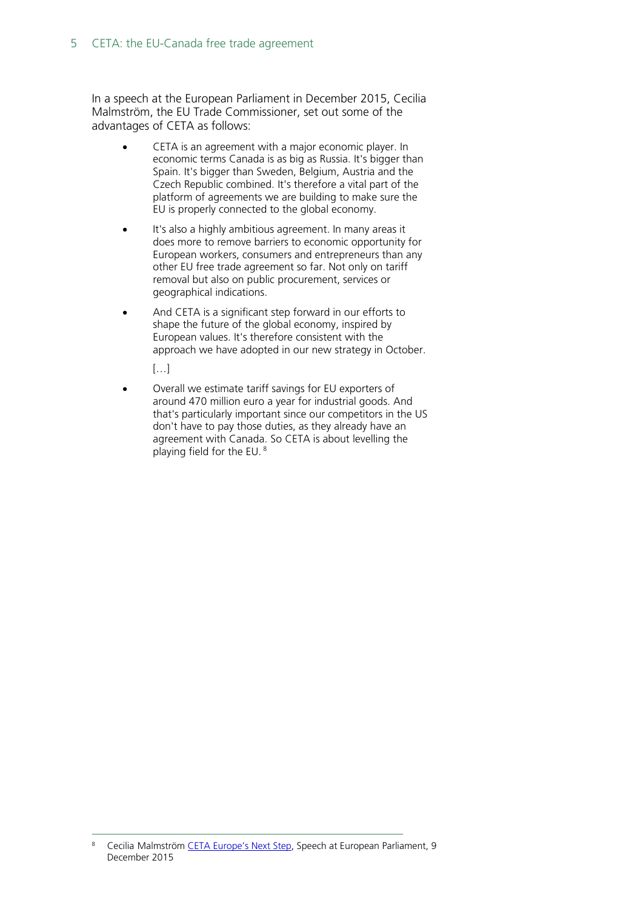In a speech at the European Parliament in December 2015, Cecilia Malmström, the EU Trade Commissioner, set out some of the advantages of CETA as follows:

- CETA is an agreement with a major economic player. In economic terms Canada is as big as Russia. It's bigger than Spain. It's bigger than Sweden, Belgium, Austria and the Czech Republic combined. It's therefore a vital part of the platform of agreements we are building to make sure the EU is properly connected to the global economy.
- It's also a highly ambitious agreement. In many areas it does more to remove barriers to economic opportunity for European workers, consumers and entrepreneurs than any other EU free trade agreement so far. Not only on tariff removal but also on public procurement, services or geographical indications.
- And CETA is a significant step forward in our efforts to shape the future of the global economy, inspired by European values. It's therefore consistent with the approach we have adopted in our new strategy in October.

[…]

• Overall we estimate tariff savings for EU exporters of around 470 million euro a year for industrial goods. And that's particularly important since our competitors in the US don't have to pay those duties, as they already have an agreement with Canada. So CETA is about levelling the playing field for the EU. [8](#page-4-0)

<span id="page-4-0"></span> <sup>8</sup> Cecilia Malmström [CETA Europe's Next Step,](http://trade.ec.europa.eu/doclib/docs/2015/december/tradoc_154022.pdf) Speech at European Parliament, 9 December 2015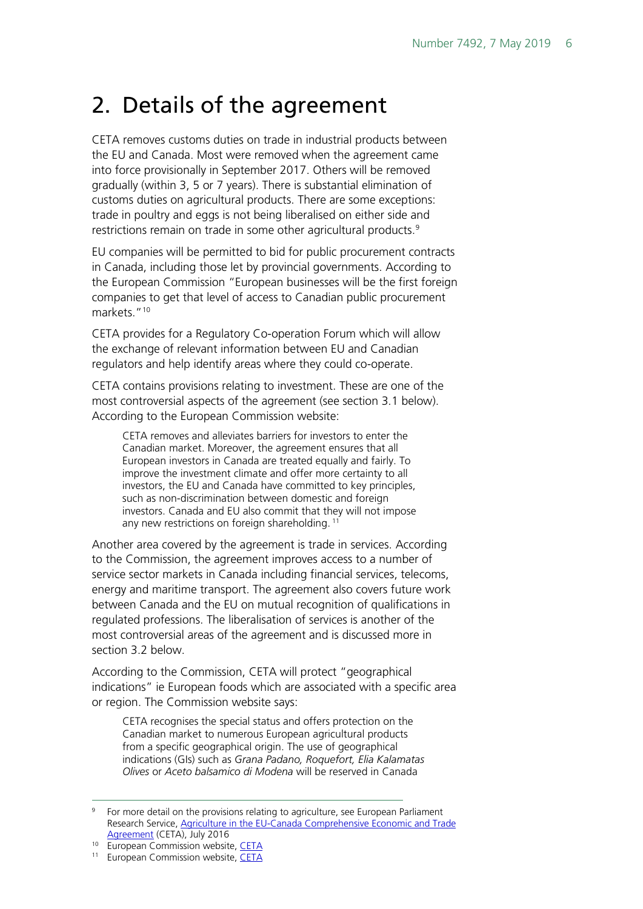## <span id="page-5-0"></span>2. Details of the agreement

CETA removes customs duties on trade in industrial products between the EU and Canada. Most were removed when the agreement came into force provisionally in September 2017. Others will be removed gradually (within 3, 5 or 7 years). There is substantial elimination of customs duties on agricultural products. There are some exceptions: trade in poultry and eggs is not being liberalised on either side and restrictions remain on trade in some other agricultural products.<sup>[9](#page-5-1)</sup>

EU companies will be permitted to bid for public procurement contracts in Canada, including those let by provincial governments. According to the European Commission "European businesses will be the first foreign companies to get that level of access to Canadian public procurement markets."<sup>[10](#page-5-2)</sup>

CETA provides for a Regulatory Co-operation Forum which will allow the exchange of relevant information between EU and Canadian regulators and help identify areas where they could co-operate.

CETA contains provisions relating to investment. These are one of the most controversial aspects of the agreement (see section 3.1 below). According to the European Commission website:

CETA removes and alleviates barriers for investors to enter the Canadian market. Moreover, the agreement ensures that all European investors in Canada are treated equally and fairly. To improve the investment climate and offer more certainty to all investors, the EU and Canada have committed to key principles, such as non-discrimination between domestic and foreign investors. Canada and EU also commit that they will not impose any new restrictions on foreign shareholding.<sup>[11](#page-5-3)</sup>

Another area covered by the agreement is trade in services. According to the Commission, the agreement improves access to a number of service sector markets in Canada including financial services, telecoms, energy and maritime transport. The agreement also covers future work between Canada and the EU on mutual recognition of qualifications in regulated professions. The liberalisation of services is another of the most controversial areas of the agreement and is discussed more in section 3.2 below.

According to the Commission, CETA will protect "geographical indications" ie European foods which are associated with a specific area or region. The Commission website says:

CETA recognises the special status and offers protection on the Canadian market to numerous European agricultural products from a specific geographical origin. The use of geographical indications (GIs) such as *Grana Padano, Roquefort, Elia Kalamatas Olives* or *Aceto balsamico di Modena* will be reserved in Canada

<span id="page-5-1"></span> <sup>9</sup> For more detail on the provisions relating to agriculture, see European Parliament Research Service, [Agriculture in the EU-Canada Comprehensive Economic and Trade](http://www.europarl.europa.eu/RegData/etudes/ATAG/2016/586638/EPRS_ATA(2016)586638_EN.pdf)  [Agreement](http://www.europarl.europa.eu/RegData/etudes/ATAG/2016/586638/EPRS_ATA(2016)586638_EN.pdf) (CETA), July 2016

<span id="page-5-2"></span><sup>&</sup>lt;sup>10</sup> European Commission website, [CETA](http://ec.europa.eu/trade/policy/in-focus/ceta/index_en.htm)

<span id="page-5-3"></span><sup>&</sup>lt;sup>11</sup> European Commission website, [CETA](http://ec.europa.eu/trade/policy/in-focus/ceta/index_en.htm)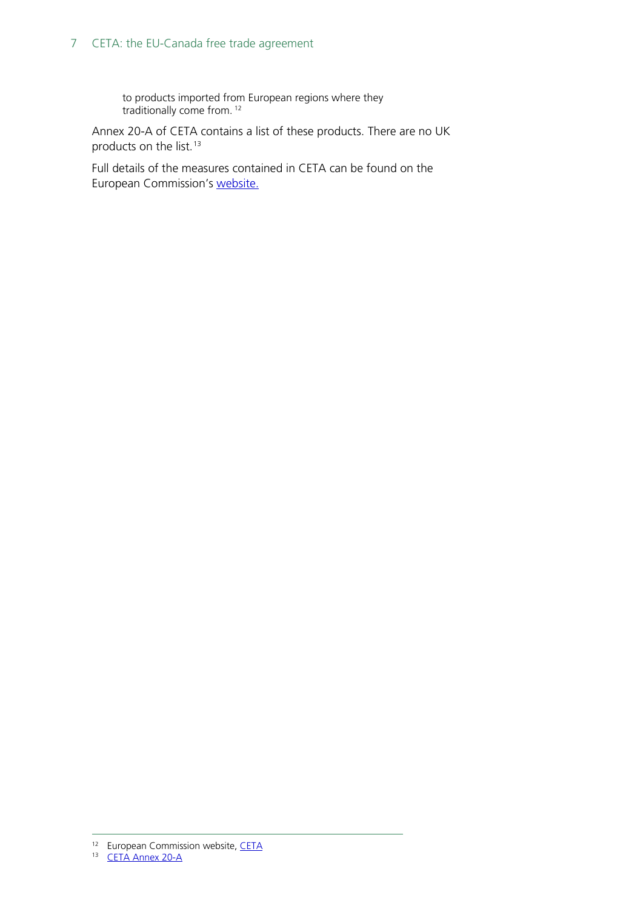#### 7 CETA: the EU-Canada free trade agreement

to products imported from European regions where they traditionally come from. [12](#page-6-0)

Annex 20-A of CETA contains a list of these products. There are no UK products on the list.<sup>[13](#page-6-1)</sup>

Full details of the measures contained in CETA can be found on the European Commission's [website.](http://ec.europa.eu/trade/policy/in-focus/ceta/index_en.htm)

<span id="page-6-1"></span><span id="page-6-0"></span>**<sup>12</sup> European Commission website, [CETA](http://ec.europa.eu/trade/policy/in-focus/ceta/index_en.htm)**<br>12 European Commission website, CETA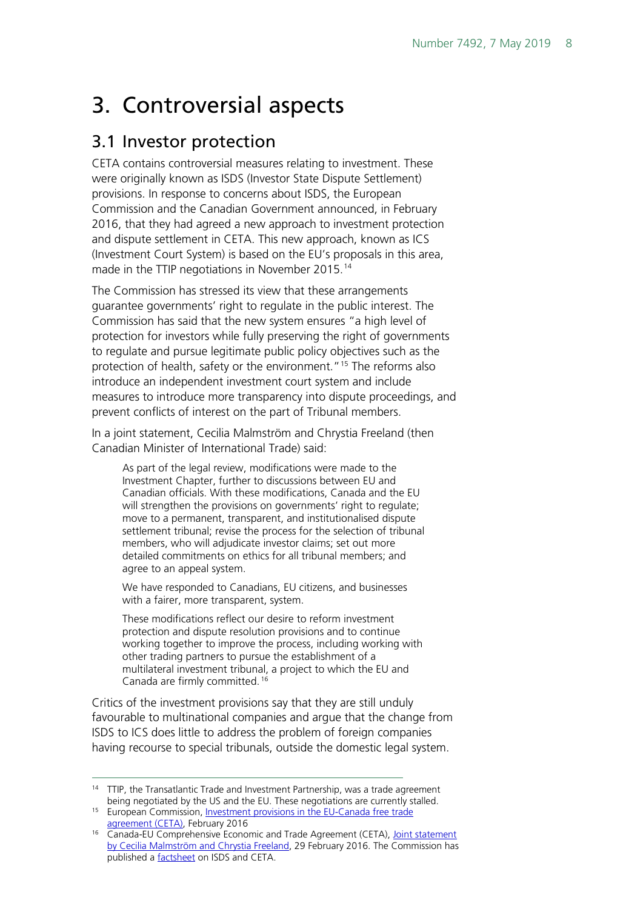# <span id="page-7-0"></span>3. Controversial aspects

### <span id="page-7-1"></span>3.1 Investor protection

CETA contains controversial measures relating to investment. These were originally known as ISDS (Investor State Dispute Settlement) provisions. In response to concerns about ISDS, the European Commission and the Canadian Government announced, in February 2016, that they had agreed a new approach to investment protection and dispute settlement in CETA. This new approach, known as ICS (Investment Court System) is based on the EU's proposals in this area, made in the TTIP negotiations in November 2015.<sup>[14](#page-7-2)</sup>

The Commission has stressed its view that these arrangements guarantee governments' right to regulate in the public interest. The Commission has said that the new system ensures "a high level of protection for investors while fully preserving the right of governments to regulate and pursue legitimate public policy objectives such as the protection of health, safety or the environment.["15](#page-7-3) The reforms also introduce an independent investment court system and include measures to introduce more transparency into dispute proceedings, and prevent conflicts of interest on the part of Tribunal members.

In a joint statement, Cecilia Malmström and Chrystia Freeland (then Canadian Minister of International Trade) said:

As part of the legal review, modifications were made to the Investment Chapter, further to discussions between EU and Canadian officials. With these modifications, Canada and the EU will strengthen the provisions on governments' right to regulate; move to a permanent, transparent, and institutionalised dispute settlement tribunal; revise the process for the selection of tribunal members, who will adjudicate investor claims; set out more detailed commitments on ethics for all tribunal members; and agree to an appeal system.

We have responded to Canadians, EU citizens, and businesses with a fairer, more transparent, system.

These modifications reflect our desire to reform investment protection and dispute resolution provisions and to continue working together to improve the process, including working with other trading partners to pursue the establishment of a multilateral investment tribunal, a project to which the EU and Canada are firmly committed. [16](#page-7-4)

Critics of the investment provisions say that they are still unduly favourable to multinational companies and argue that the change from ISDS to ICS does little to address the problem of foreign companies having recourse to special tribunals, outside the domestic legal system.

<span id="page-7-2"></span><sup>&</sup>lt;sup>14</sup> TTIP, the Transatlantic Trade and Investment Partnership, was a trade agreement being negotiated by the US and the EU. These negotiations are currently stalled.

<span id="page-7-3"></span><sup>&</sup>lt;sup>15</sup> European Commission, Investment provisions in the EU-Canada free trade [agreement \(CETA\),](http://trade.ec.europa.eu/doclib/docs/2013/november/tradoc_151918.pdf) February 2016

<span id="page-7-4"></span><sup>&</sup>lt;sup>16</sup> Canada-EU Comprehensive Economic and Trade Agreement (CETA), Joint statement [by Cecilia Malmström and Chrystia Freeland,](http://trade.ec.europa.eu/doclib/docs/2016/february/tradoc_154330.pdf) 29 February 2016. The Commission has published a [factsheet](http://trade.ec.europa.eu/doclib/docs/2013/november/tradoc_151918.pdf) on ISDS and CETA.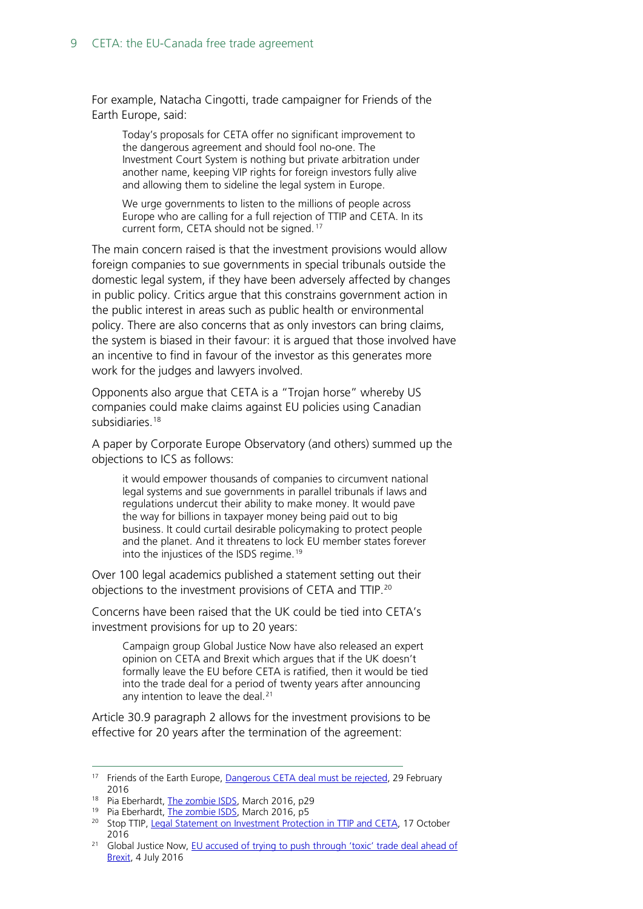For example, Natacha Cingotti, trade campaigner for Friends of the Earth Europe, said:

Today's proposals for CETA offer no significant improvement to the dangerous agreement and should fool no-one. The Investment Court System is nothing but private arbitration under another name, keeping VIP rights for foreign investors fully alive and allowing them to sideline the legal system in Europe.

We urge governments to listen to the millions of people across Europe who are calling for a full rejection of TTIP and CETA. In its current form, CETA should not be signed.<sup>[17](#page-8-0)</sup>

The main concern raised is that the investment provisions would allow foreign companies to sue governments in special tribunals outside the domestic legal system, if they have been adversely affected by changes in public policy. Critics argue that this constrains government action in the public interest in areas such as public health or environmental policy. There are also concerns that as only investors can bring claims, the system is biased in their favour: it is argued that those involved have an incentive to find in favour of the investor as this generates more work for the judges and lawyers involved.

Opponents also argue that CETA is a "Trojan horse" whereby US companies could make claims against EU policies using Canadian subsidiaries.[18](#page-8-1)

A paper by Corporate Europe Observatory (and others) summed up the objections to ICS as follows:

it would empower thousands of companies to circumvent national legal systems and sue governments in parallel tribunals if laws and regulations undercut their ability to make money. It would pave the way for billions in taxpayer money being paid out to big business. It could curtail desirable policymaking to protect people and the planet. And it threatens to lock EU member states forever into the injustices of the ISDS regime.<sup>[19](#page-8-2)</sup>

Over 100 legal academics published a statement setting out their objections to the investment provisions of CETA and TTIP.[20](#page-8-3)

Concerns have been raised that the UK could be tied into CETA's investment provisions for up to 20 years:

Campaign group Global Justice Now have also released an expert opinion on CETA and Brexit which argues that if the UK doesn't formally leave the EU before CETA is ratified, then it would be tied into the trade deal for a period of twenty years after announcing any intention to leave the deal.<sup>[21](#page-8-4)</sup>

Article 30.9 paragraph 2 allows for the investment provisions to be effective for 20 years after the termination of the agreement:

<span id="page-8-0"></span><sup>&</sup>lt;sup>17</sup> Friends of the Earth Europe, [Dangerous CETA deal must be rejected,](http://www.foeeurope.org/dangerous-CETA-deal-must-be-rejected-290216) 29 February 2016

<span id="page-8-1"></span><sup>&</sup>lt;sup>18</sup> Pia Eberhardt, [The zombie ISDS,](http://corporateeurope.org/sites/default/files/attachments/the_zombie_isds_0.pdf) March 2016, p29

<sup>&</sup>lt;sup>19</sup> Pia Eberhardt, [The zombie ISDS,](http://corporateeurope.org/sites/default/files/attachments/the_zombie_isds_0.pdf) March 2016, p5

<span id="page-8-3"></span><span id="page-8-2"></span><sup>&</sup>lt;sup>20</sup> Stop TTIP, [Legal Statement on Investment Protection in TTIP and CETA,](https://stop-ttip.org/blog/legal-statement-on-investment-protection-in-ttip-and-ceta/?emailid=55ccb821090bff0300e78b62&segmentId=1e887e34-00a5-c328-481c-7a09b5553d9c) 17 October 2016

<span id="page-8-4"></span><sup>&</sup>lt;sup>21</sup> Global Justice Now, EU accused of trying to push through 'toxic' trade deal ahead of [Brexit,](http://www.globaljustice.org.uk/news/2016/jul/4/eu-accused-trying-push-through-toxic-trade-deal-ahead-brexit) 4 July 2016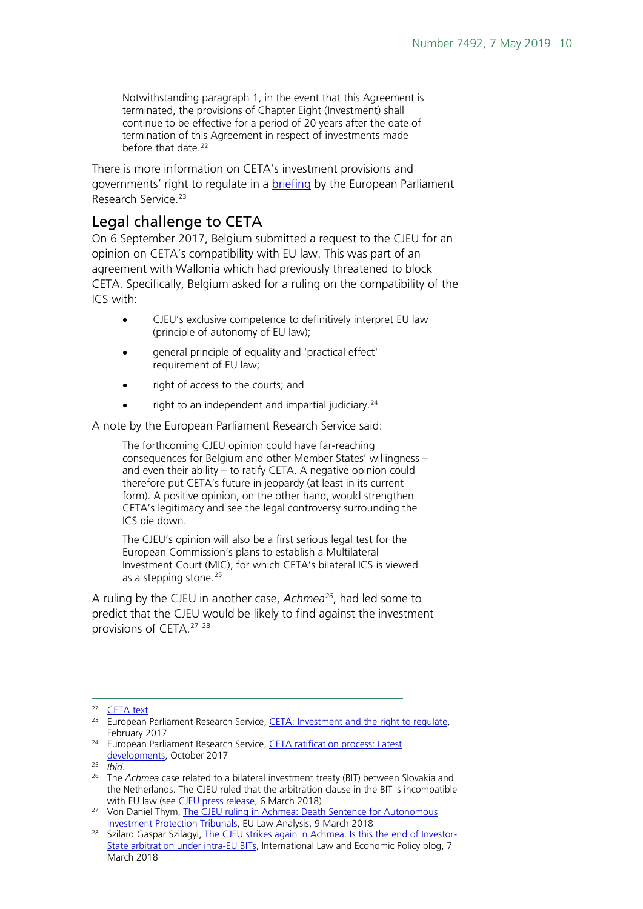Notwithstanding paragraph 1, in the event that this Agreement is terminated, the provisions of Chapter Eight (Investment) shall continue to be effective for a period of 20 years after the date of termination of this Agreement in respect of investments made before that date.<sup>[22](#page-9-1)</sup>

There is more information on CETA's investment provisions and governments' right to regulate in a **briefing** by the European Parliament Research Service.<sup>[23](#page-9-2)</sup>

### <span id="page-9-0"></span>Legal challenge to CETA

On 6 September 2017, Belgium submitted a request to the CJEU for an opinion on CETA's compatibility with EU law. This was part of an agreement with Wallonia which had previously threatened to block CETA. Specifically, Belgium asked for a ruling on the compatibility of the ICS with:

- CJEU's exclusive competence to definitively interpret EU law (principle of autonomy of EU law);
- general principle of equality and 'practical effect' requirement of EU law;
- right of access to the courts; and
- right to an independent and impartial judiciary.<sup>[24](#page-9-3)</sup>

A note by the European Parliament Research Service said:

The forthcoming CJEU opinion could have far-reaching consequences for Belgium and other Member States' willingness – and even their ability – to ratify CETA. A negative opinion could therefore put CETA's future in jeopardy (at least in its current form). A positive opinion, on the other hand, would strengthen CETA's legitimacy and see the legal controversy surrounding the ICS die down.

The CJEU's opinion will also be a first serious legal test for the European Commission's plans to establish a Multilateral Investment Court (MIC), for which CETA's bilateral ICS is viewed as a stepping stone.<sup>[25](#page-9-4)</sup>

A ruling by the CJEU in another case, *Achmea[26](#page-9-5)*, had led some to predict that the CJEU would be likely to find against the investment provisions of CETA. [27](#page-9-6) [28](#page-9-7)

<span id="page-9-3"></span><sup>24</sup> European Parliament Research Service, CETA ratification process: Latest [developments,](http://www.europarl.europa.eu/RegData/etudes/ATAG/2017/608726/EPRS_ATA(2017)608726_EN.pdf) October 2017

<span id="page-9-1"></span> <sup>22</sup> [CETA text](http://data.consilium.europa.eu/doc/document/ST-10973-2016-INIT/en/pdf)

<span id="page-9-2"></span><sup>&</sup>lt;sup>23</sup> European Parliament Research Service, CETA: Investment and the right to regulate, February 2017

<span id="page-9-4"></span><sup>25</sup> *Ibid.*

<span id="page-9-5"></span><sup>&</sup>lt;sup>26</sup> The *Achmea* case related to a bilateral investment treaty (BIT) between Slovakia and the Netherlands. The CJEU ruled that the arbitration clause in the BIT is incompatible with EU law (see [CJEU press release,](https://curia.europa.eu/jcms/upload/docs/application/pdf/2018-03/cp180026en.pdf) 6 March 2018)

<span id="page-9-6"></span><sup>27</sup> Von Daniel Thym, The CJEU ruling in Achmea: Death Sentence for Autonomous [Investment Protection Tribunals,](http://arbitrationblog.practicallaw.com/achmea-european-court-of-justice-rules-that-arbitration-agreement-in-intra-eu-bilateral-investment-treaty-violates-eu-law/) EU Law Analysis, 9 March 2018

<span id="page-9-7"></span><sup>&</sup>lt;sup>28</sup> Szilard Gaspar Szilagyi, [The CJEU strikes again in Achmea. Is this the end of Investor-](http://worldtradelaw.typepad.com/ielpblog/2018/03/guest-post-the-cjeu-strikes-again-in-achmea-is-this-the-end-of-investor-state-arbitration-under-intr.html)[State arbitration under intra-EU BITs,](http://worldtradelaw.typepad.com/ielpblog/2018/03/guest-post-the-cjeu-strikes-again-in-achmea-is-this-the-end-of-investor-state-arbitration-under-intr.html) International Law and Economic Policy blog, 7 March 2018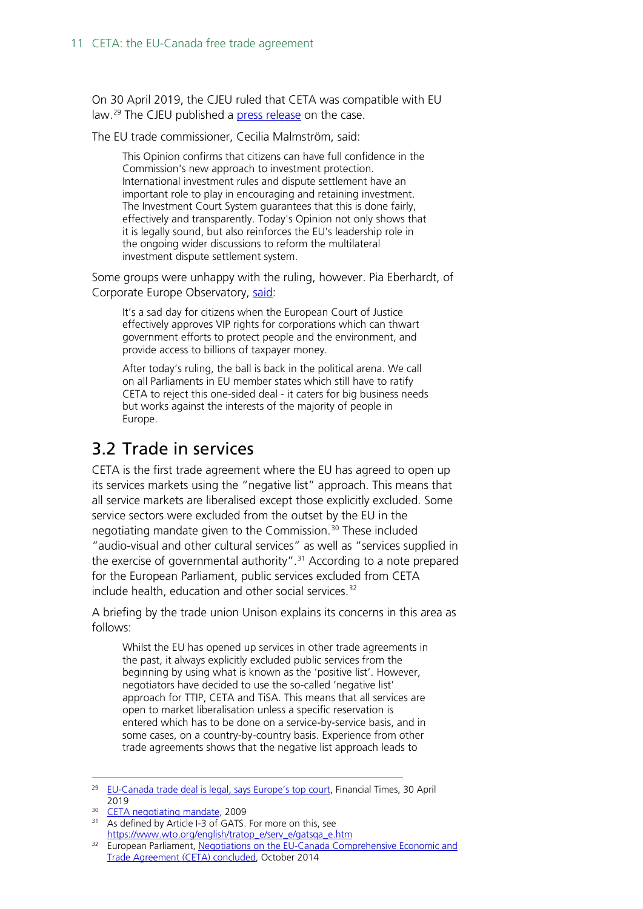On 30 April 2019, the CJEU ruled that CETA was compatible with EU law.[29](#page-10-1) The CJEU published a [press release](https://curia.europa.eu/jcms/upload/docs/application/pdf/2019-04/cp190052en.pdf) on the case.

The EU trade commissioner, Cecilia Malmström, said:

This Opinion confirms that citizens can have full confidence in the Commission's new approach to investment protection. International investment rules and dispute settlement have an important role to play in encouraging and retaining investment. The Investment Court System guarantees that this is done fairly, effectively and transparently. Today's Opinion not only shows that it is legally sound, but also reinforces the EU's leadership role in the ongoing wider discussions to reform the multilateral investment dispute settlement system.

Some groups were unhappy with the ruling, however. Pia Eberhardt, of Corporate Europe Observatory, [said:](https://corporateeurope.org/en/2019/04/ecj-confirms-legality-unfair-corporate-tribunals-eu-trade-deals)

It's a sad day for citizens when the European Court of Justice effectively approves VIP rights for corporations which can thwart government efforts to protect people and the environment, and provide access to billions of taxpayer money.

After today's ruling, the ball is back in the political arena. We call on all Parliaments in EU member states which still have to ratify CETA to reject this one-sided deal - it caters for big business needs but works against the interests of the majority of people in Europe.

### <span id="page-10-0"></span>3.2 Trade in services

CETA is the first trade agreement where the EU has agreed to open up its services markets using the "negative list" approach. This means that all service markets are liberalised except those explicitly excluded. Some service sectors were excluded from the outset by the EU in the negotiating mandate given to the Commission.<sup>[30](#page-10-2)</sup> These included "audio-visual and other cultural services" as well as "services supplied in the exercise of governmental authority". [31](#page-10-3) According to a note prepared for the European Parliament, public services excluded from CETA include health, education and other social services.<sup>[32](#page-10-4)</sup>

A briefing by the trade union Unison explains its concerns in this area as follows:

Whilst the EU has opened up services in other trade agreements in the past, it always explicitly excluded public services from the beginning by using what is known as the 'positive list'. However, negotiators have decided to use the so-called 'negative list' approach for TTIP, CETA and TiSA. This means that all services are open to market liberalisation unless a specific reservation is entered which has to be done on a service-by-service basis, and in some cases, on a country-by-country basis. Experience from other trade agreements shows that the negative list approach leads to

<span id="page-10-1"></span><sup>&</sup>lt;sup>29</sup> [EU-Canada trade deal is legal, says Europe's top court,](https://www.ft.com/content/25754d28-6b21-11e9-80c7-60ee53e6681d) Financial Times, 30 April 2019

<span id="page-10-2"></span><sup>&</sup>lt;sup>30</sup> [CETA negotiating mandate,](http://data.consilium.europa.eu/doc/document/ST-9036-2009-EXT-2/en/pdf) 2009

<span id="page-10-3"></span><sup>&</sup>lt;sup>31</sup> As defined by Article I-3 of GATS. For more on this, see https://www.wto.org/english/tratop\_e/serv\_e/gatsga\_e.htm

<span id="page-10-4"></span><sup>&</sup>lt;sup>32</sup> European Parliament, Negotiations on the EU-Canada Comprehensive Economic and [Trade Agreement \(CETA\) concluded,](http://www.europarl.europa.eu/RegData/etudes/IDAN/2014/536410/EXPO_IDA(2014)536410_EN.pdf) October 2014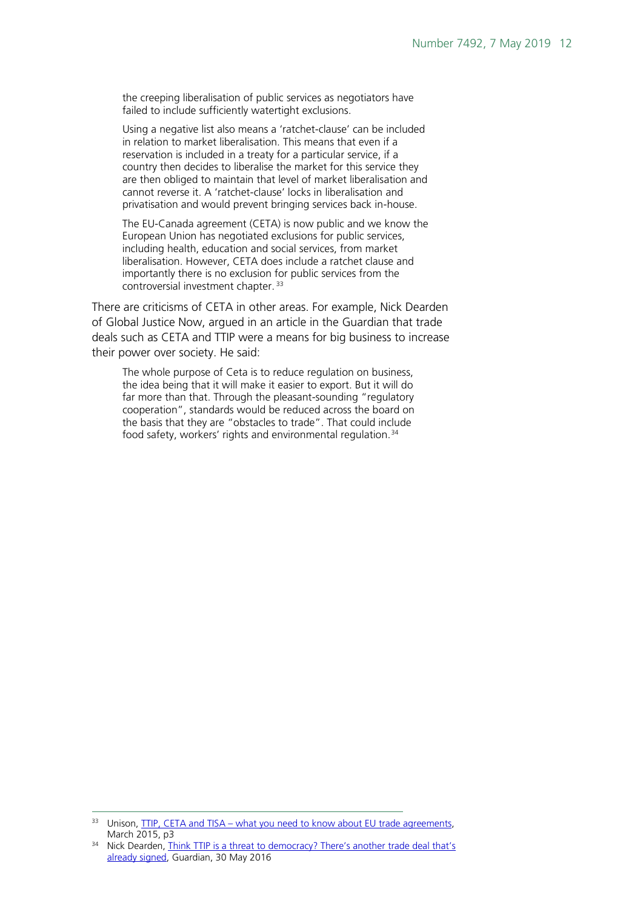the creeping liberalisation of public services as negotiators have failed to include sufficiently watertight exclusions.

Using a negative list also means a 'ratchet-clause' can be included in relation to market liberalisation. This means that even if a reservation is included in a treaty for a particular service, if a country then decides to liberalise the market for this service they are then obliged to maintain that level of market liberalisation and cannot reverse it. A 'ratchet-clause' locks in liberalisation and privatisation and would prevent bringing services back in-house.

The EU-Canada agreement (CETA) is now public and we know the European Union has negotiated exclusions for public services, including health, education and social services, from market liberalisation. However, CETA does include a ratchet clause and importantly there is no exclusion for public services from the controversial investment chapter. [33](#page-11-0)

There are criticisms of CETA in other areas. For example, Nick Dearden of Global Justice Now, argued in an article in the Guardian that trade deals such as CETA and TTIP were a means for big business to increase their power over society. He said:

The whole purpose of Ceta is to reduce regulation on business, the idea being that it will make it easier to export. But it will do far more than that. Through the pleasant-sounding "regulatory cooperation", standards would be reduced across the board on the basis that they are "obstacles to trade". That could include food safety, workers' rights and environmental regulation.<sup>[34](#page-11-1)</sup>

<span id="page-11-0"></span><sup>&</sup>lt;sup>33</sup> Unison, **TTIP, CETA and TISA** – what you need to know about EU trade agreements, March 2015, p3

<span id="page-11-1"></span><sup>&</sup>lt;sup>34</sup> Nick Dearden, Think TTIP is a threat to democracy? There's another trade deal that's [already signed,](https://www.theguardian.com/commentisfree/2016/may/30/ttip-trade-deal-agreements-ceta-eu-canada) Guardian, 30 May 2016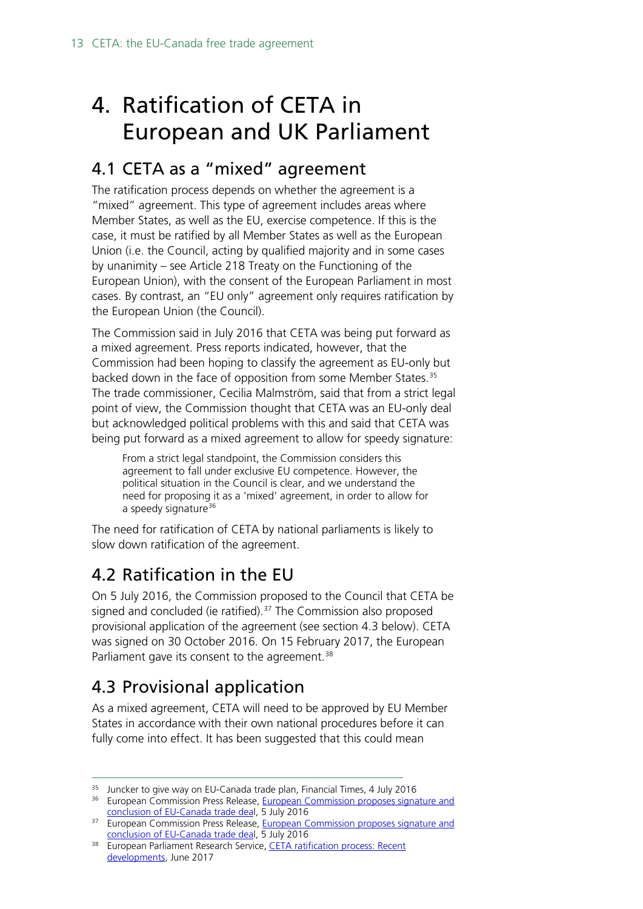# <span id="page-12-0"></span>4. Ratification of CETA in European and UK Parliament

## <span id="page-12-1"></span>4.1 CETA as a "mixed" agreement

The ratification process depends on whether the agreement is a "mixed" agreement. This type of agreement includes areas where Member States, as well as the EU, exercise competence. If this is the case, it must be ratified by all Member States as well as the European Union (i.e. the Council, acting by qualified majority and in some cases by unanimity – see Article 218 Treaty on the Functioning of the European Union), with the consent of the European Parliament in most cases. By contrast, an "EU only" agreement only requires ratification by the European Union (the Council).

The Commission said in July 2016 that CETA was being put forward as a mixed agreement. Press reports indicated, however, that the Commission had been hoping to classify the agreement as EU-only but backed down in the face of opposition from some Member States.<sup>[35](#page-12-4)</sup> The trade commissioner, Cecilia Malmström, said that from a strict legal point of view, the Commission thought that CETA was an EU-only deal but acknowledged political problems with this and said that CETA was being put forward as a mixed agreement to allow for speedy signature:

From a strict legal standpoint, the Commission considers this agreement to fall under exclusive EU competence. However, the political situation in the Council is clear, and we understand the need for proposing it as a 'mixed' agreement, in order to allow for a speedy signature $36$ 

The need for ratification of CETA by national parliaments is likely to slow down ratification of the agreement.

## <span id="page-12-2"></span>4.2 Ratification in the EU

On 5 July 2016, the Commission proposed to the Council that CETA be signed and concluded (ie ratified). [37](#page-12-6) The Commission also proposed provisional application of the agreement (see section 4.3 below). CETA was signed on 30 October 2016. On 15 February 2017, the European Parliament gave its consent to the agreement.<sup>38</sup>

## <span id="page-12-3"></span>4.3 Provisional application

As a mixed agreement, CETA will need to be approved by EU Member States in accordance with their own national procedures before it can fully come into effect. It has been suggested that this could mean

<span id="page-12-4"></span><sup>&</sup>lt;sup>35</sup> Juncker to give way on EU-Canada trade plan, Financial Times, 4 July 2016

<span id="page-12-5"></span><sup>&</sup>lt;sup>36</sup> European Commission Press Release, European Commission proposes signature and [conclusion of EU-Canada trade deal,](http://trade.ec.europa.eu/doclib/press/index.cfm?id=1524) 5 July 2016

<span id="page-12-6"></span><sup>&</sup>lt;sup>37</sup> European Commission Press Release, European Commission proposes signature and [conclusion of EU-Canada trade deal,](http://trade.ec.europa.eu/doclib/press/index.cfm?id=1524) 5 July 2016

<span id="page-12-7"></span><sup>38</sup> European Parliament Research Service, [CETA ratification process:](http://www.europarl.europa.eu/RegData/etudes/ATAG/2017/607266/EPRS_ATA(2017)607266_EN.pdf) Recent [developments,](http://www.europarl.europa.eu/RegData/etudes/ATAG/2017/607266/EPRS_ATA(2017)607266_EN.pdf) June 2017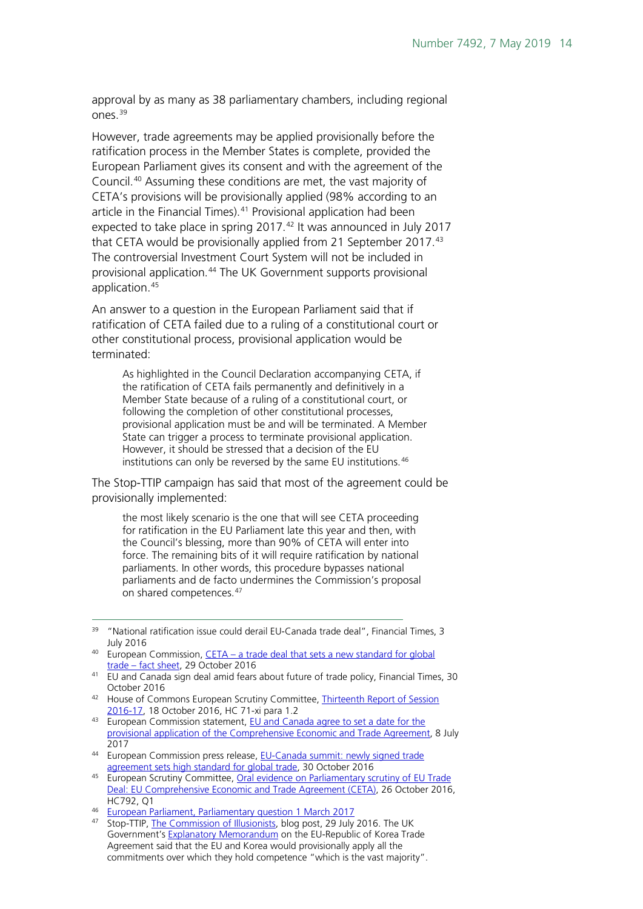approval by as many as 38 parliamentary chambers, including regional ones.[39](#page-13-0)

However, trade agreements may be applied provisionally before the ratification process in the Member States is complete, provided the European Parliament gives its consent and with the agreement of the Council.[40](#page-13-1) Assuming these conditions are met, the vast majority of CETA's provisions will be provisionally applied (98% according to an article in the Financial Times).<sup>[41](#page-13-2)</sup> Provisional application had been expected to take place in spring 2017.<sup>[42](#page-13-3)</sup> It was announced in July 2017 that CETA would be provisionally applied from 21 September 2017.<sup>[43](#page-13-4)</sup> The controversial Investment Court System will not be included in provisional application.<sup>[44](#page-13-5)</sup> The UK Government supports provisional application.<sup>[45](#page-13-6)</sup>

An answer to a question in the European Parliament said that if ratification of CETA failed due to a ruling of a constitutional court or other constitutional process, provisional application would be terminated:

As highlighted in the Council Declaration accompanying CETA, if the ratification of CETA fails permanently and definitively in a Member State because of a ruling of a constitutional court, or following the completion of other constitutional processes, provisional application must be and will be terminated. A Member State can trigger a process to terminate provisional application. However, it should be stressed that a decision of the EU institutions can only be reversed by the same EU institutions.<sup>[46](#page-13-7)</sup>

The Stop-TTIP campaign has said that most of the agreement could be provisionally implemented:

the most likely scenario is the one that will see CETA proceeding for ratification in the EU Parliament late this year and then, with the Council's blessing, more than 90% of CETA will enter into force. The remaining bits of it will require ratification by national parliaments. In other words, this procedure bypasses national parliaments and de facto undermines the Commission's proposal on shared competences.<sup>[47](#page-13-8)</sup>

- <span id="page-13-3"></span>42 House of Commons European Scrutiny Committee, Thirteenth Report of Session [2016-17,](http://www.publications.parliament.uk/pa/cm201617/cmselect/cmeuleg/71-xi/71-xi.pdf) 18 October 2016, HC 71-xi para 1.2
- <span id="page-13-4"></span>43 European Commission statement, EU and Canada agree to set a date for the [provisional application of the Comprehensive Economic and Trade Agreement,](http://europa.eu/rapid/press-release_STATEMENT-17-1959_en.htm) 8 July 2017

<span id="page-13-0"></span><sup>&</sup>lt;sup>39</sup> "National ratification issue could derail EU-Canada trade deal", Financial Times, 3 July 2016

<span id="page-13-1"></span><sup>&</sup>lt;sup>40</sup> European Commission, CETA – a trade deal that sets a new standard for global trade – [fact sheet,](http://trade.ec.europa.eu/doclib/press/index.cfm?id=1567) 29 October 2016

<span id="page-13-2"></span><sup>41</sup> EU and Canada sign deal amid fears about future of trade policy, Financial Times, 30 October 2016

<span id="page-13-5"></span><sup>44</sup> European Commission press release, EU-Canada summit: newly signed trade [agreement sets high standard for global trade,](http://trade.ec.europa.eu/doclib/press/index.cfm?id=1569) 30 October 2016

<span id="page-13-6"></span><sup>45</sup> European Scrutiny Committee, Oral evidence on Parliamentary scrutiny of EU Trade [Deal: EU Comprehensive Economic and Trade Agreement \(CETA\),](http://data.parliament.uk/writtenevidence/committeeevidence.svc/evidencedocument/european-scrutiny-committee/parliamentary-scrutiny-of-eu-trade-deal-canadaeu-comprehensive-economic-and-trade-agreement-ceta/oral/42479.pdf) 26 October 2016, HC792, Q1

<span id="page-13-7"></span><sup>46</sup> [European Parliament, Parliamentary question 1 March 2017](http://www.europarl.europa.eu/sides/getAllAnswers.do?reference=E-2016-008912&language=EN)

<span id="page-13-8"></span><sup>47</sup> Stop-TTIP, [The Commission of Illusionists,](https://stop-ttip.org/blog/the-commission-of-illusionists/) blog post, 29 July 2016. The UK Government's [Explanatory Memorandum](http://webarchive.nationalarchives.gov.uk/20130104161243/http:/www.fco.gov.uk/resources/en/pdf/3706546/594588382/594609382/16-EUKoreaFreeTrade-EM) on the EU-Republic of Korea Trade Agreement said that the EU and Korea would provisionally apply all the commitments over which they hold competence "which is the vast majority".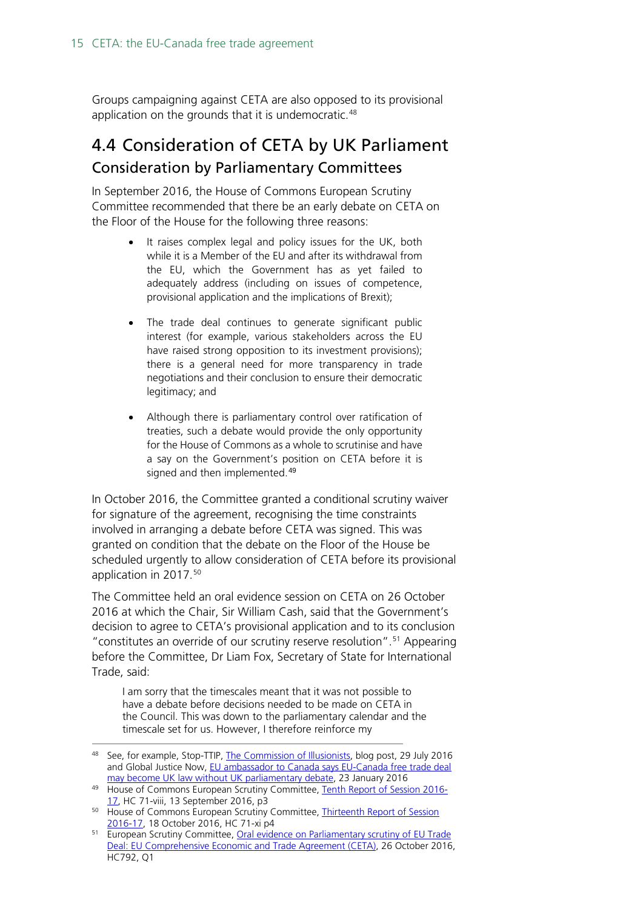Groups campaigning against CETA are also opposed to its provisional application on the grounds that it is undemocratic.<sup>[48](#page-14-1)</sup>

### <span id="page-14-0"></span>4.4 Consideration of CETA by UK Parliament Consideration by Parliamentary Committees

In September 2016, the House of Commons European Scrutiny Committee recommended that there be an early debate on CETA on the Floor of the House for the following three reasons:

- It raises complex legal and policy issues for the UK, both while it is a Member of the EU and after its withdrawal from the EU, which the Government has as yet failed to adequately address (including on issues of competence, provisional application and the implications of Brexit);
- The trade deal continues to generate significant public interest (for example, various stakeholders across the EU have raised strong opposition to its investment provisions); there is a general need for more transparency in trade negotiations and their conclusion to ensure their democratic legitimacy; and
- Although there is parliamentary control over ratification of treaties, such a debate would provide the only opportunity for the House of Commons as a whole to scrutinise and have a say on the Government's position on CETA before it is signed and then implemented.<sup>[49](#page-14-2)</sup>

In October 2016, the Committee granted a conditional scrutiny waiver for signature of the agreement, recognising the time constraints involved in arranging a debate before CETA was signed. This was granted on condition that the debate on the Floor of the House be scheduled urgently to allow consideration of CETA before its provisional application in 2017.<sup>[50](#page-14-3)</sup>

The Committee held an oral evidence session on CETA on 26 October 2016 at which the Chair, Sir William Cash, said that the Government's decision to agree to CETA's provisional application and to its conclusion " constitutes an override of our scrutiny reserve resolution".<sup>[51](#page-14-4)</sup> Appearing before the Committee, Dr Liam Fox, Secretary of State for International Trade, said:

I am sorry that the timescales meant that it was not possible to have a debate before decisions needed to be made on CETA in the Council. This was down to the parliamentary calendar and the timescale set for us. However, I therefore reinforce my

<span id="page-14-1"></span><sup>48</sup> See, for example, Stop-TTIP, [The Commission of Illusionists,](https://stop-ttip.org/blog/the-commission-of-illusionists/) blog post, 29 July 2016 and Global Justice Now, EU ambassador to Canada says EU-Canada free trade deal [may become UK law without UK parliamentary debate,](http://www.globaljustice.org.uk/news/2016/jan/23/eu-ambassador-canada-says-eu-canada-free-trade-deal-may-become-law-without-uk) 23 January 2016

<span id="page-14-2"></span><sup>49</sup> House of Commons European Scrutiny Committee, [Tenth Report of Session 2016-](http://www.publications.parliament.uk/pa/cm201617/cmselect/cmeuleg/71-viii/71-viii.pdf) [17,](http://www.publications.parliament.uk/pa/cm201617/cmselect/cmeuleg/71-viii/71-viii.pdf) HC 71-viii, 13 September 2016, p3

<span id="page-14-3"></span><sup>50</sup> House of Commons European Scrutiny Committee, [Thirteenth Report of Session](http://www.publications.parliament.uk/pa/cm201617/cmselect/cmeuleg/71-xi/71-xi.pdf)  [2016-17,](http://www.publications.parliament.uk/pa/cm201617/cmselect/cmeuleg/71-xi/71-xi.pdf) 18 October 2016, HC 71-xi p4

<span id="page-14-4"></span><sup>&</sup>lt;sup>51</sup> European Scrutiny Committee, Oral evidence on Parliamentary scrutiny of EU Trade [Deal: EU Comprehensive Economic and Trade Agreement \(CETA\),](http://data.parliament.uk/writtenevidence/committeeevidence.svc/evidencedocument/european-scrutiny-committee/parliamentary-scrutiny-of-eu-trade-deal-canadaeu-comprehensive-economic-and-trade-agreement-ceta/oral/42479.pdf) 26 October 2016, HC792, Q1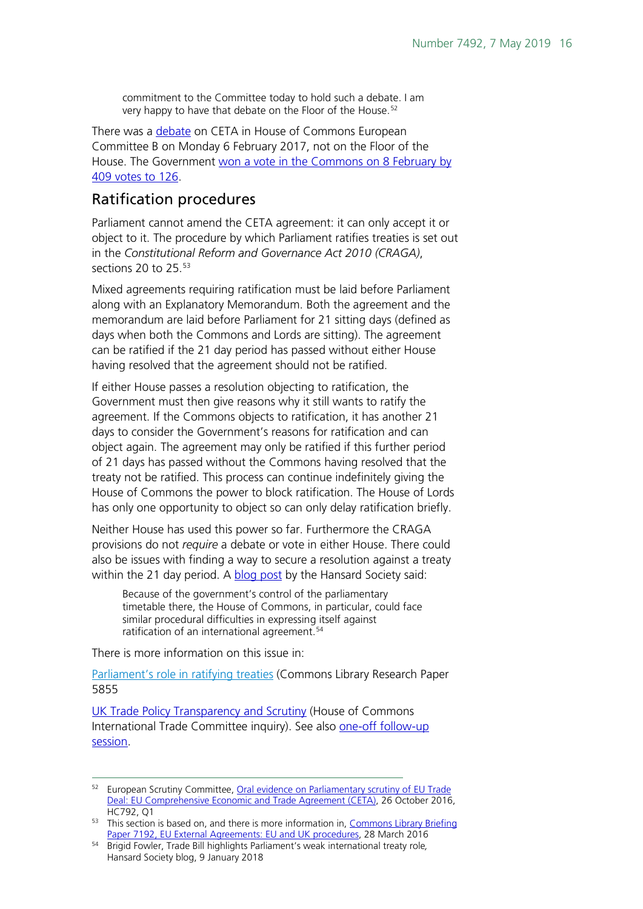commitment to the Committee today to hold such a debate. I am very happy to have that debate on the Floor of the House.<sup>[52](#page-15-0)</sup>

There was a [debate](https://hansard.parliament.uk/commons/2017-02-06/debates/25942c0e-fbf7-4307-9120-b9a7c5f52a06/EU-CanadaComprehensiveEconomicAndTradeAgreement) on CETA in House of Commons European Committee B on Monday 6 February 2017, not on the Floor of the House. The Government won a vote in the Commons on 8 February by [409 votes to 126.](http://hansard.parliament.uk/Commons/2017-02-08/division/8688DFBA-3EC1-4132-ADEB-BBAEABCE01BA/ComprehensiveEconomicTradeAgreement(CETA)BetweenTheEUAndCanada?outputType=Names)

#### Ratification procedures

Parliament cannot amend the CETA agreement: it can only accept it or object to it. The procedure by which Parliament ratifies treaties is set out in the *Constitutional Reform and Governance Act 2010 (CRAGA)*, sections 20 to 25. [53](#page-15-1)

Mixed agreements requiring ratification must be laid before Parliament along with an Explanatory Memorandum. Both the agreement and the memorandum are laid before Parliament for 21 sitting days (defined as days when both the Commons and Lords are sitting). The agreement can be ratified if the 21 day period has passed without either House having resolved that the agreement should not be ratified.

If either House passes a resolution objecting to ratification, the Government must then give reasons why it still wants to ratify the agreement. If the Commons objects to ratification, it has another 21 days to consider the Government's reasons for ratification and can object again. The agreement may only be ratified if this further period of 21 days has passed without the Commons having resolved that the treaty not be ratified. This process can continue indefinitely giving the House of Commons the power to block ratification. The House of Lords has only one opportunity to object so can only delay ratification briefly.

Neither House has used this power so far. Furthermore the CRAGA provisions do not *require* a debate or vote in either House. There could also be issues with finding a way to secure a resolution against a treaty within the 21 day period. A [blog post](https://www.hansardsociety.org.uk/blog/trade-bill-highlights-parliaments-weak-international-treaty-role) by the Hansard Society said:

Because of the government's control of the parliamentary timetable there, the House of Commons, in particular, could face similar procedural difficulties in expressing itself against ratification of an international agreement. [54](#page-15-2)

There is more information on this issue in:

[Parliament's role in ratifying treaties](http://researchbriefings.parliament.uk/ResearchBriefing/Summary/SN05855) (Commons Library Research Paper 5855

[UK Trade Policy Transparency and Scrutiny](https://www.parliament.uk/business/committees/committees-a-z/commons-select/international-trade-committee/inquiries/parliament-2017/uk-trade-policy-transparency-and-scrutiny-17-19/) (House of Commons International Trade Committee inquiry). See also one-off follow-up [session.](https://www.parliament.uk/business/committees/committees-a-z/commons-select/international-trade-committee/inquiries/parliament-2017/uk-trade-policy-transparency-and-scrutiny-follow-up-inquiry-17-19/)

<span id="page-15-0"></span><sup>&</sup>lt;sup>52</sup> European Scrutiny Committee, Oral evidence on Parliamentary scrutiny of EU Trade [Deal: EU Comprehensive Economic and Trade Agreement \(CETA\),](http://data.parliament.uk/writtenevidence/committeeevidence.svc/evidencedocument/european-scrutiny-committee/parliamentary-scrutiny-of-eu-trade-deal-canadaeu-comprehensive-economic-and-trade-agreement-ceta/oral/42479.pdf) 26 October 2016, HC792, Q1

<span id="page-15-1"></span><sup>53</sup> This section is based on, and there is more information in, Commons Library Briefing [Paper 7192, EU External Agreements: EU and UK procedures,](http://researchbriefings.parliament.uk/ResearchBriefing/Summary/CBP-7192) 28 March 2016

<span id="page-15-2"></span><sup>54</sup> Brigid Fowler, Trade Bill highlights Parliament's weak international treaty role*,*  Hansard Society blog, 9 January 2018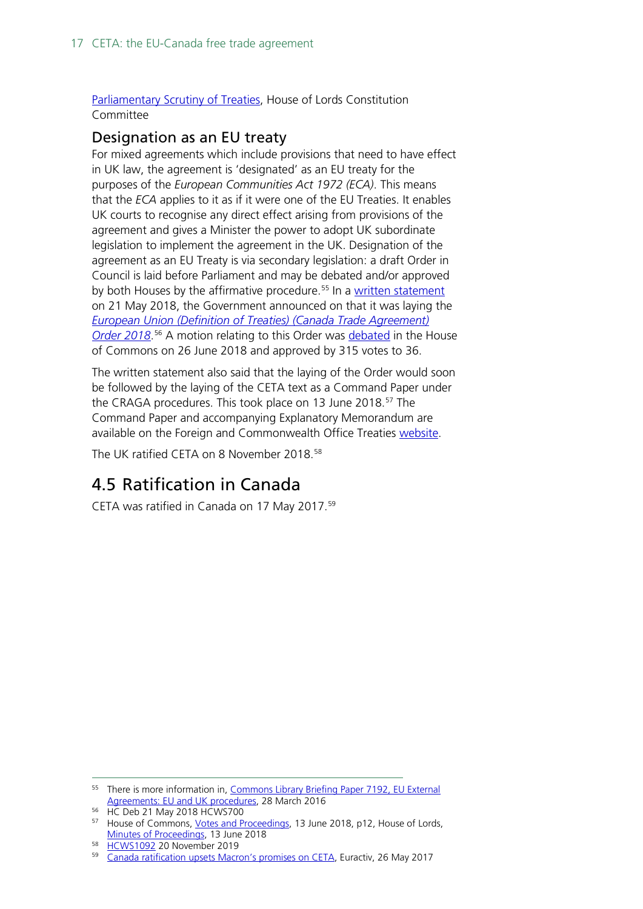#### [Parliamentary Scrutiny of Treaties,](https://publications.parliament.uk/pa/ld201719/ldselect/ldconst/345/345.pdf) House of Lords Constitution Committee

#### <span id="page-16-0"></span>Designation as an EU treaty

For mixed agreements which include provisions that need to have effect in UK law, the agreement is 'designated' as an EU treaty for the purposes of the *European Communities Act 1972 (ECA)*. This means that the *ECA* applies to it as if it were one of the EU Treaties. It enables UK courts to recognise any direct effect arising from provisions of the agreement and gives a Minister the power to adopt UK subordinate legislation to implement the agreement in the UK. Designation of the agreement as an EU Treaty is via secondary legislation: a draft Order in Council is laid before Parliament and may be debated and/or approved by both Houses by the affirmative procedure.<sup>[55](#page-16-2)</sup> In a [written statement](https://www.parliament.uk/business/publications/written-questions-answers-statements/written-statement/Commons/2018-05-21/HCWS700/) on 21 May 2018, the Government announced on that it was laying the *[European Union \(Definition of Treaties\) \(Canada Trade Agreement\)](file:///%5C%5Chpap03f%5CDIS%5CShares%5CPublications%5CStandard%20Notes%5CFinal%20-%20EPAS%5CDesignation%20of%20the%20agreement%20as%20an%20EU%20Treaty%20is%20via%20secondary%20legislation:%20a%20draft%20Order%20in%20Council%20is%20laid%20before%20Parliament%20and%20may%20be%20debated%20and%5Cor%20approved%20by%20both%20Houses%20by%20the%20affirmative%20procedure.) [Order 2018](file:///%5C%5Chpap03f%5CDIS%5CShares%5CPublications%5CStandard%20Notes%5CFinal%20-%20EPAS%5CDesignation%20of%20the%20agreement%20as%20an%20EU%20Treaty%20is%20via%20secondary%20legislation:%20a%20draft%20Order%20in%20Council%20is%20laid%20before%20Parliament%20and%20may%20be%20debated%20and%5Cor%20approved%20by%20both%20Houses%20by%20the%20affirmative%20procedure.)*. [56](#page-16-3) A motion relating to this Order was [debated](https://hansard.parliament.uk/commons/2018-06-26/debates/A43EC00E-687B-4B0D-A845-98A16973004D/DraftEU-CanadaTradeAgreementOrder) in the House of Commons on 26 June 2018 and approved by 315 votes to 36.

The written statement also said that the laying of the Order would soon be followed by the laying of the CETA text as a Command Paper under the CRAGA procedures. This took place on 13 June 2018.<sup>[57](#page-16-4)</sup> The Command Paper and accompanying Explanatory Memorandum are available on the Foreign and Commonwealth Office Treaties [website.](https://www.gov.uk/government/publications/eu-no62018-eucanada-comprehensive-economic-and-trade-agreement)

The UK ratified CETA on 8 November 2018.<sup>[58](#page-16-5)</sup>

## <span id="page-16-1"></span>4.5 Ratification in Canada

CETA was ratified in Canada on 17 May 2017.[59](#page-16-6)

<span id="page-16-2"></span><sup>&</sup>lt;sup>55</sup> There is more information in, Commons Library Briefing Paper 7192, EU External [Agreements: EU and UK procedures,](http://researchbriefings.parliament.uk/ResearchBriefing/Summary/CBP-7192) 28 March 2016

<span id="page-16-3"></span><sup>56</sup> HC Deb 21 May 2018 HCWS700

<span id="page-16-4"></span><sup>57</sup> House of Commons, [Votes and Proceedings,](https://publications.parliament.uk/pa/cm201719/cmvote/180613v01.pdf) 13 June 2018, p12, House of Lords, [Minutes of Proceedings,](http://lordsbusiness.parliament.uk/) 13 June 2018

<span id="page-16-5"></span><sup>58</sup> [HCWS1092](https://www.parliament.uk/business/publications/written-questions-answers-statements/written-statement/Commons/2018-11-20/HCWS1092/) 20 November 2019

<span id="page-16-6"></span><sup>&</sup>lt;sup>59</sup> [Canada ratification upsets Macron's promises on CETA,](https://www.euractiv.com/section/ceta/news/canada-ratification-upsets-macrons-promises-on-ceta/) Euractiv, 26 May 2017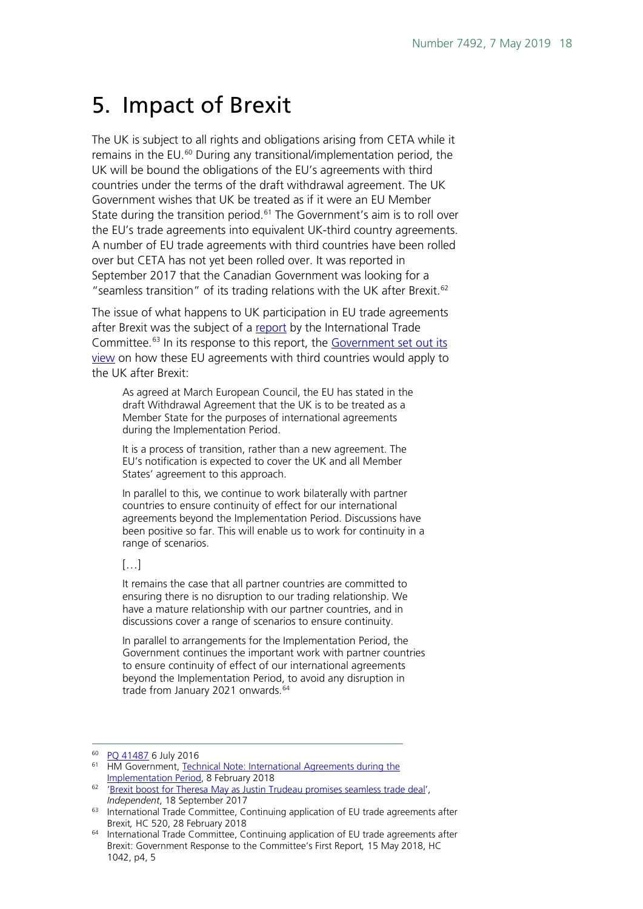## <span id="page-17-0"></span>5. Impact of Brexit

The UK is subject to all rights and obligations arising from CETA while it remains in the EU. [60](#page-17-1) During any transitional/implementation period, the UK will be bound the obligations of the EU's agreements with third countries under the terms of the draft withdrawal agreement. The UK Government wishes that UK be treated as if it were an EU Member State during the transition period.<sup>[61](#page-17-2)</sup> The Government's aim is to roll over the EU's trade agreements into equivalent UK-third country agreements. A number of EU trade agreements with third countries have been rolled over but CETA has not yet been rolled over. It was reported in September 2017 that the Canadian Government was looking for a "seamless transition" of its trading relations with the UK after Brexit. [62](#page-17-3)

The issue of what happens to UK participation in EU trade agreements after Brexit was the subject of a [report](https://publications.parliament.uk/pa/cm201719/cmselect/cmintrade/520/520.pdf) by the International Trade Committee.<sup>[63](#page-17-4)</sup> In its response to this report, the Government set out its [view](https://publications.parliament.uk/pa/cm201719/cmselect/cmintrade/1042/1042.pdf) on how these EU agreements with third countries would apply to the UK after Brexit:

As agreed at March European Council, the EU has stated in the draft Withdrawal Agreement that the UK is to be treated as a Member State for the purposes of international agreements during the Implementation Period.

It is a process of transition, rather than a new agreement. The EU's notification is expected to cover the UK and all Member States' agreement to this approach.

In parallel to this, we continue to work bilaterally with partner countries to ensure continuity of effect for our international agreements beyond the Implementation Period. Discussions have been positive so far. This will enable us to work for continuity in a range of scenarios.

#### $\left[\begin{matrix}1\\0\end{matrix}\right]$

It remains the case that all partner countries are committed to ensuring there is no disruption to our trading relationship. We have a mature relationship with our partner countries, and in discussions cover a range of scenarios to ensure continuity.

In parallel to arrangements for the Implementation Period, the Government continues the important work with partner countries to ensure continuity of effect of our international agreements beyond the Implementation Period, to avoid any disruption in trade from January 2021 onwards.<sup>[64](#page-17-5)</sup>

<span id="page-17-1"></span> <sup>60</sup> PQ [41487](http://www.parliament.uk/written-questions-answers-statements/written-question/commons/2016-06-29/41487) 6 July 2016

<span id="page-17-2"></span><sup>&</sup>lt;sup>61</sup> HM Government, Technical Note: International Agreements during the [Implementation Period,](https://assets.publishing.service.gov.uk/government/uploads/system/uploads/attachment_data/file/680366/Technical_Note_-_International_Agreements_in_the_Implementation_Period_-_CLEAN.pdf) 8 February 2018

<span id="page-17-3"></span><sup>62</sup> ['Brexit boost for Theresa May as Justin Trudeau promises seamless trade deal'](https://www.independent.co.uk/news/uk/politics/justin-trudeau-theresa-may-canada-brexit-trade-deal-ceta-ottawa-a7954366.html), *Independent*, 18 September 2017

<span id="page-17-4"></span><sup>63</sup> International Trade Committee, Continuing application of EU trade agreements after Brexit*,* HC 520, 28 February 2018

<span id="page-17-5"></span><sup>64</sup> International Trade Committee, Continuing application of EU trade agreements after Brexit: Government Response to the Committee's First Report*,* 15 May 2018, HC 1042, p4, 5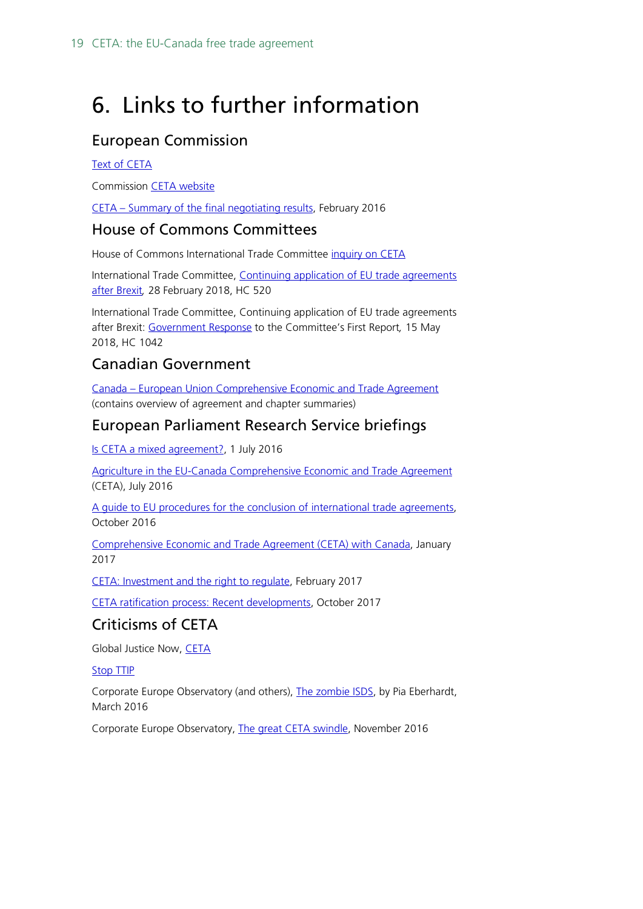# <span id="page-18-0"></span>6. Links to further information

### European Commission

#### [Text of CETA](http://data.consilium.europa.eu/doc/document/ST-10973-2016-INIT/en/pdf)

Commission [CETA website](http://ec.europa.eu/trade/policy/in-focus/ceta/)

CETA – [Summary of the final negotiating results,](http://trade.ec.europa.eu/doclib/docs/2014/december/tradoc_152982.pdf) February 2016

#### House of Commons Committees

House of Commons International Trade Committee [inquiry on CETA](http://www.parliament.uk/business/committees/committees-a-z/commons-select/international-trade-committee/inquiries/parliament-2015/ceta-16-17/)

International Trade Committee, Continuing application of EU trade agreements [after Brexit](https://publications.parliament.uk/pa/cm201719/cmselect/cmintrade/520/520.pdf)*,* 28 February 2018, HC 520

International Trade Committee, Continuing application of EU trade agreements after Brexit: [Government Response](https://publications.parliament.uk/pa/cm201719/cmselect/cmintrade/1042/1042.pdf) to the Committee's First Report*,* 15 May 2018, HC 1042

#### Canadian Government

Canada – [European Union Comprehensive Economic and Trade Agreement](http://www.international.gc.ca/trade-commerce/trade-agreements-accords-commerciaux/agr-acc/ceta-aecg/index.aspx?lang=eng) (contains overview of agreement and chapter summaries)

### European Parliament Research Service briefings

[Is CETA a mixed agreement?](http://www.europarl.europa.eu/RegData/etudes/ATAG/2016/586597/EPRS_ATA(2016)586597_EN.pdf), 1 July 2016

[Agriculture in the EU-Canada Comprehensive Economic and Trade Agreement](http://www.europarl.europa.eu/RegData/etudes/ATAG/2016/586638/EPRS_ATA(2016)586638_EN.pdf) (CETA), July 2016

[A guide to EU procedures for the conclusion of international trade agreements,](http://www.europarl.europa.eu/RegData/etudes/BRIE/2016/593489/EPRS_BRI(2016)593489_EN.pdf) October 2016

Comprehensive Economic and [Trade Agreement \(CETA\) with Canada,](http://www.europarl.europa.eu/EPRS/EPRS-Briefing-595895-Comprehensive-Economic-Trade-Agreement-Canada-rev-FINAL.pdf) January 2017

[CETA: Investment and the right to regulate,](http://www.europarl.europa.eu/RegData/etudes/ATAG/2017/599265/EPRS_ATA(2017)599265_EN.pdf) February 2017

[CETA ratification process: Recent developments,](http://www.europarl.europa.eu/RegData/etudes/ATAG/2017/608726/EPRS_ATA(2017)608726_EN.pdf) October 2017

### Criticisms of CETA

Global Justice Now, [CETA](http://www.globaljustice.org.uk/what-ceta)

#### [Stop TTIP](https://stop-ttip.org/)

Corporate Europe Observatory (and others), [The zombie ISDS,](http://corporateeurope.org/sites/default/files/attachments/the_zombie_isds_0.pdf) by Pia Eberhardt, March 2016

Corporate Europe Observatory, [The great CETA swindle,](https://corporateeurope.org/sites/default/files/attachments/great-ceta-swindle.pdf) November 2016